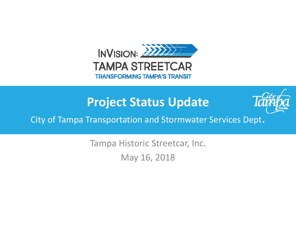

# **Project Status Update**



City of Tampa Transportation and Stormwater Services Dept.

Tampa Historic Streetcar, Inc. May 16, 2018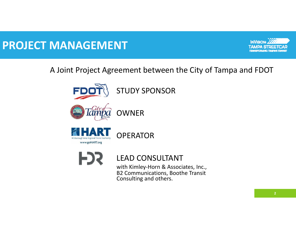## **PROJECT MANAGEMENT**



### A Joint Project Agreement between the City of Tampa and FDOT





OWNER

OPERATOR





### LEAD CONSULTANT

with Kimley-Horn & Associates, Inc., B2 Communications, Boothe Transit Consulting and others.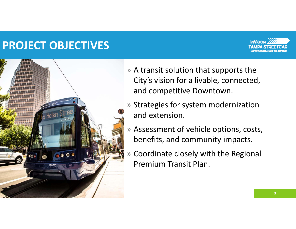## **PROJECT OBJECTIVES**





- » A transit solution that supports the City's vision for a livable, connected, and competitive Downtown.
- » Strategies for system modernization and extension.
- » Assessment of vehicle options, costs, benefits, and community impacts.
- » Coordinate closely with the Regional Premium Transit Plan.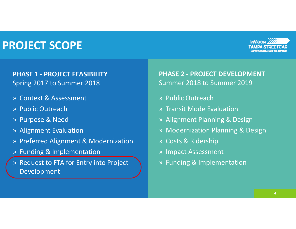## **PROJECT SCOPE**



#### **PHASE 1 ‐ PROJECT FEASIBILITY** Spring 2017 to Summer 2018

- » Context & Assessment
- » Public Outreach
- » Purpose & Need
- » Alignment Evaluation
- » Preferred Alignment & Modernization
- » Funding & Implementation
- » Request to FTA for Entry into Project Development

**PHASE 2 - PROJECT DEVELOPMENT** Summer 2018 to Summer 2019

- » Public Outreach
- » Transit Mode Evaluation
- » Alignment Planning & Design
- » Modernization Planning & Design
- » Costs & Ridership
- » Impact Assessment
- » Funding & Implementation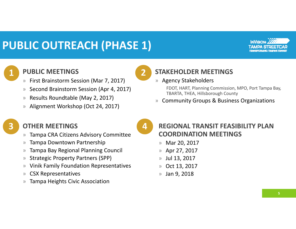# **PUBLIC OUTREACH (PHASE 1)**



#### **PUBLIC MEETINGS**

**1**

**3**

- » First Brainstorm Session (Mar 7, 2017)
- »Second Brainstorm Session (Apr 4, 2017)
- »Results Roundtable (May 2, 2017)
- »Alignment Workshop (Oct 24, 2017)

### **STAKEHOLDER MEETINGS**

» Agency Stakeholders

FDOT, HART, Planning Commission, MPO, Port Tampa Bay, TBARTA, THEA, Hillsborough County

»Community Groups & Business Organizations

#### **OTHER MEETINGS**

- »Tampa CRA Citizens Advisory Committee
- »Tampa Downtown Partnership
- »Tampa Bay Regional Planning Council
- »Strategic Property Partners (SPP)
- »Vinik Family Foundation Representatives
- »CSX Representatives
- »Tampa Heights Civic Association

**4**

**2**

### **REGIONAL TRANSIT FEASIBILITY PLAN COORDINATION MEETINGS**

- » Mar 20, 2017
- »Apr 27, 2017
- »Jul 13, 2017
- »Oct 13, 2017
- $\rangle$ Jan 9, 2018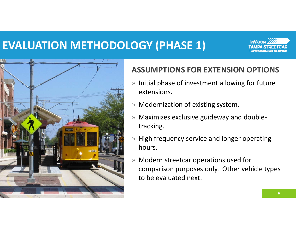# **EVALUATION METHODOLOGY (PHASE 1)**





### **ASSUMPTIONS FOR EXTENSION OPTIONS**

- » Initial phase of investment allowing for future extensions.
- » Modernization of existing system.
- » Maximizes exclusive guideway and double‐ tracking.
- » High frequency service and longer operating hours.
- » Modern streetcar operations used for comparison purposes only. Other vehicle types to be evaluated next.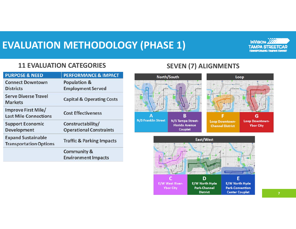## **EVALUATION METHODOLOGY (PHASE 1)**



#### **11 EVALUATION CATEGORIES**

| <b>PURPOSE &amp; NEED</b>                                  | <b>PERFORMANCE &amp; IMPACT</b>                      |
|------------------------------------------------------------|------------------------------------------------------|
| <b>Connect Downtown</b>                                    | <b>Population &amp;</b>                              |
| <b>Districts</b>                                           | <b>Employment Served</b>                             |
| <b>Serve Diverse Travel</b><br><b>Markets</b>              | <b>Capital &amp; Operating Costs</b>                 |
| Improve First Mile/<br><b>Last Mile Connections</b>        | <b>Cost Effectiveness</b>                            |
| <b>Support Economic</b>                                    | Constructability/                                    |
| <b>Development</b>                                         | <b>Operational Constraints</b>                       |
| <b>Expand Sustainable</b><br><b>Transportation Options</b> | <b>Traffic &amp; Parking Impacts</b>                 |
|                                                            | <b>Community &amp;</b><br><b>Environment Impacts</b> |

### **SEVEN (7) ALIGNMENTS**



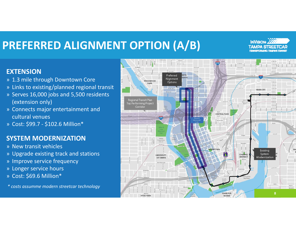# **PREFERRED ALIGNMENT OPTION (A/B)**



#### **EXTENSION**

- » 1.3 mile through Downtown Core
- » Links to existing/planned regional transit
- » Serves 16,000 jobs and 5,500 residents (extension only)
- » Connects major entertainment and cultural venues
- » Cost: \$99.7 ‐ \$102.6 Million\*

#### **SYSTEM MODERNIZATION**

- » New transit vehicles
- » Upgrade existing track and stations
- » Improve service frequency
- » Longer service hours
- » Cost: \$69.6 Million\*

*\* costs assumme modern streetcar technology*

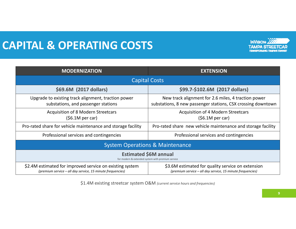# **CAPITAL & OPERATING COSTS**



| <b>MODERNIZATION</b>                                                                                                   | <b>EXTENSION</b>                                                                                                    |  |
|------------------------------------------------------------------------------------------------------------------------|---------------------------------------------------------------------------------------------------------------------|--|
| <b>Capital Costs</b>                                                                                                   |                                                                                                                     |  |
| \$69.6M (2017 dollars)                                                                                                 | \$99.7-\$102.6M (2017 dollars)                                                                                      |  |
| Upgrade to existing track alignment, traction power<br>substations, and passenger stations                             | New track alignment for 2.6 miles, 4 traction power<br>substations, 8 new passenger stations, CSX crossing downtown |  |
| <b>Acquisition of 8 Modern Streetcars</b><br>(56.1M per car)                                                           | Acquisition of 4 Modern Streetcars<br>(56.1M per car)                                                               |  |
| Pro-rated share for vehicle maintenance and storage facility                                                           | Pro-rated share new vehicle maintenance and storage facility                                                        |  |
| Professional services and contingencies                                                                                | Professional services and contingencies                                                                             |  |
| <b>System Operations &amp; Maintenance</b>                                                                             |                                                                                                                     |  |
| <b>Estimated \$6M annual</b><br>for modern & extended system with premium service                                      |                                                                                                                     |  |
| \$2.4M estimated for improved service on existing system<br>(premium service - all day service, 15 minute frequencies) | \$3.6M estimated for quality service on extension<br>(premium service - all day service, 15 minute frequencies)     |  |

\$1.4M existing streetcar system O&M *(current service hours and frequencies)*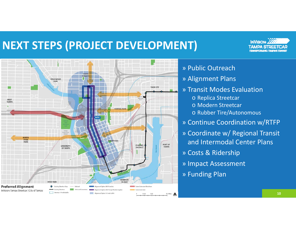# **NEXT STEPS (PROJECT DEVELOPMENT)**



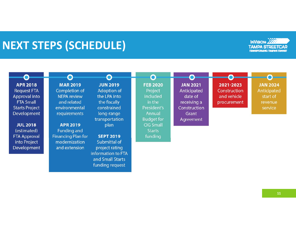# **NEXT STEPS (SCHEDULE)**





funding request